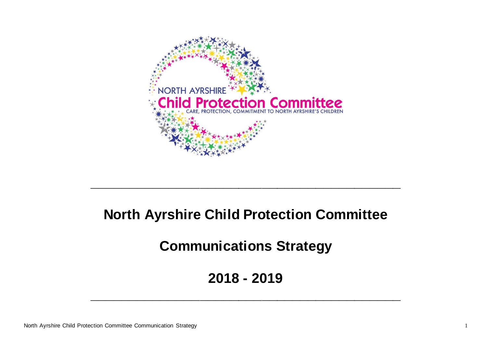

# **North Ayrshire Child Protection Committee**

**\_\_\_\_\_\_\_\_\_\_\_\_\_\_\_\_\_\_\_\_\_\_\_\_\_\_\_\_\_\_\_\_\_\_\_\_\_\_\_\_**

**Communications Strategy**

**2018 - 2019**

**\_\_\_\_\_\_\_\_\_\_\_\_\_\_\_\_\_\_\_\_\_\_\_\_\_\_\_\_\_\_\_\_\_\_\_\_\_\_\_\_**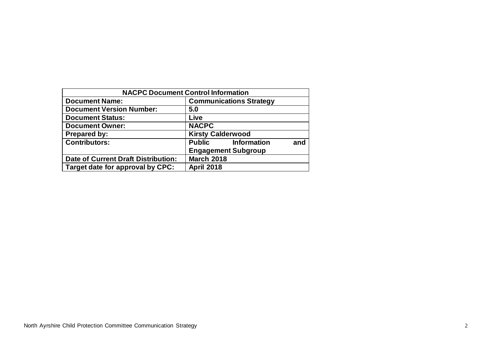| <b>NACPC Document Control Information</b>  |                                  |  |  |  |  |  |  |
|--------------------------------------------|----------------------------------|--|--|--|--|--|--|
| <b>Document Name:</b>                      | <b>Communications Strategy</b>   |  |  |  |  |  |  |
| <b>Document Version Number:</b>            | 5.0                              |  |  |  |  |  |  |
| <b>Document Status:</b>                    | Live                             |  |  |  |  |  |  |
| <b>Document Owner:</b>                     | <b>NACPC</b>                     |  |  |  |  |  |  |
| <b>Prepared by:</b>                        | <b>Kirsty Calderwood</b>         |  |  |  |  |  |  |
| <b>Contributors:</b>                       | <b>Public</b> Information<br>and |  |  |  |  |  |  |
|                                            | <b>Engagement Subgroup</b>       |  |  |  |  |  |  |
| <b>Date of Current Draft Distribution:</b> | <b>March 2018</b>                |  |  |  |  |  |  |
| Target date for approval by CPC:           | <b>April 2018</b>                |  |  |  |  |  |  |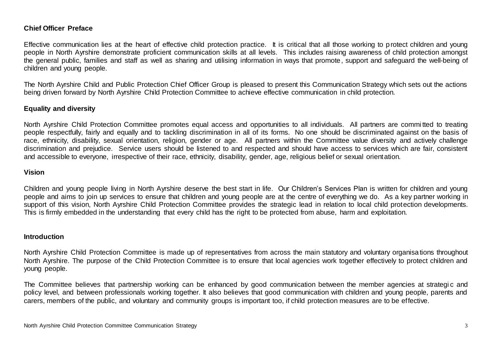#### **Chief Officer Preface**

Effective communication lies at the heart of effective child protection practice. It is critical that all those working to protect children and young people in North Ayrshire demonstrate proficient communication skills at all levels. This includes raising awareness of child protection amongst the general public, families and staff as well as sharing and utilising information in ways that promote, support and safeguard the well-being of children and young people.

The North Ayrshire Child and Public Protection Chief Officer Group is pleased to present this Communication Strategy which sets out the actions being driven forward by North Ayrshire Child Protection Committee to achieve effective communication in child protection.

#### **Equality and diversity**

North Ayrshire Child Protection Committee promotes equal access and opportunities to all individuals. All partners are commi tted to treating people respectfully, fairly and equally and to tackling discrimination in all of its forms. No one should be discriminated against on the basis of race, ethnicity, disability, sexual orientation, religion, gender or age. All partners within the Committee value diversity and actively challenge discrimination and prejudice. Service users should be listened to and respected and should have access to services which are fair, consistent and accessible to everyone, irrespective of their race, ethnicity, disability, gender, age, religious belief or sexual orientation.

#### **Vision**

Children and young people living in North Ayrshire deserve the best start in life. Our Children's Services Plan is written for children and young people and aims to join up services to ensure that children and young people are at the centre of everything we do. As a key partner working in support of this vision, North Ayrshire Child Protection Committee provides the strategic lead in relation to local child protection developments. This is firmly embedded in the understanding that every child has the right to be protected from abuse, harm and exploitation.

#### **Introduction**

North Ayrshire Child Protection Committee is made up of representatives from across the main statutory and voluntary organisations throughout North Ayrshire. The purpose of the Child Protection Committee is to ensure that local agencies work together effectively to protect children and young people.

The Committee believes that partnership working can be enhanced by good communication between the member agencies at strategi c and policy level, and between professionals working together. It also believes that good communication with children and young people, parents and carers, members of the public, and voluntary and community groups is important too, if child protection measures are to be effective.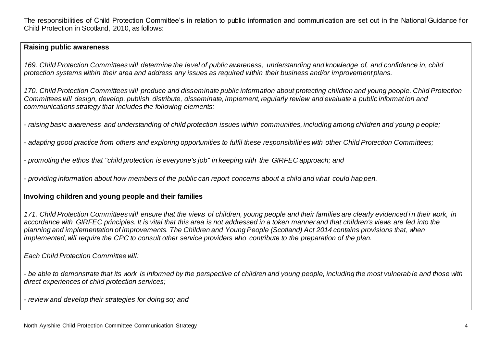The responsibilities of Child Protection Committee's in relation to public information and communication are set out in the National Guidance for Child Protection in Scotland, 2010, as follows:

#### **Raising public awareness**

*169. Child Protection Committees will determine the level of public awareness, understanding and knowledge of, and confidence in, child protection systems within their area and address any issues as required within their business and/or improvement plans.*

*170. Child Protection Committees will produce and disseminate public information about protecting children and young people. Child Protection Committees will design, develop, publish, distribute, disseminate, implement, regularly review and evaluate a public informat ion and communications strategy that includes the following elements:*

*- raising basic awareness and understanding of child protection issues within communities, including among children and young p eople;*

*- adapting good practice from others and exploring opportunities to fulfil these responsibiliti es with other Child Protection Committees;*

*- promoting the ethos that "child protection is everyone's job" in keeping with the GIRFEC approach; and*

*- providing information about how members of the public can report concerns about a child and what could hap pen.*

#### **Involving children and young people and their families**

*171. Child Protection Committees will ensure that the views of children, young people and their families are clearly evidenced i n their work, in accordance with GIRFEC principles. It is vital that this area is not addressed in a token manner and that children's views are fed into the planning and implementation of improvements. The Children and Young People (Scotland) Act 2014 contains provisions that, when implemented, will require the CPC to consult other service providers who contribute to the preparation of the plan.* 

*Each Child Protection Committee will:*

*- be able to demonstrate that its work is informed by the perspective of children and young people, including the most vulnerab le and those with direct experiences of child protection services;*

*- review and develop their strategies for doing so; and*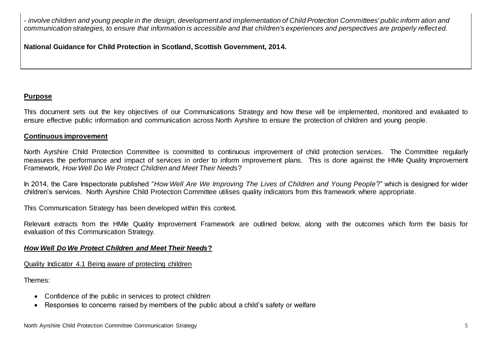*- involve children and young people in the design, development and implementation of Child Protection Committees' public inform ation and communication strategies, to ensure that information is accessible and that children's experiences and perspectives are properly reflected.*

**National Guidance for Child Protection in Scotland, Scottish Government, 2014.**

## **Purpose**

This document sets out the key objectives of our Communications Strategy and how these will be implemented*,* monitored and evaluated to ensure effective public information and communication across North Ayrshire to ensure the protection of children and young people.

## **Continuous improvement**

North Ayrshire Child Protection Committee is committed to continuous improvement of child protection services. The Committee regularly measures the performance and impact of services in order to inform improvement plans. This is done against the HMIe Quality Improvement Framework, *How Well Do We Protect Children and Meet Their Needs*?

In 2014, the Care Inspectorate published "*How Well Are We Improving The Lives of Children and Young People*?" which is designed for wider children's services. North Ayrshire Child Protection Committee utilises quality indicators from this framework where appropriate.

This Communication Strategy has been developed within this context.

Relevant extracts from the HMIe Quality Improvement Framework are outlined below, along with the outcomes which form the basis for evaluation of this Communication Strategy.

## *How Well Do We Protect Children and Meet Their Needs***?**

Quality Indicator 4.1 Being aware of protecting children

Themes:

- Confidence of the public in services to protect children
- Responses to concerns raised by members of the public about a child's safety or welfare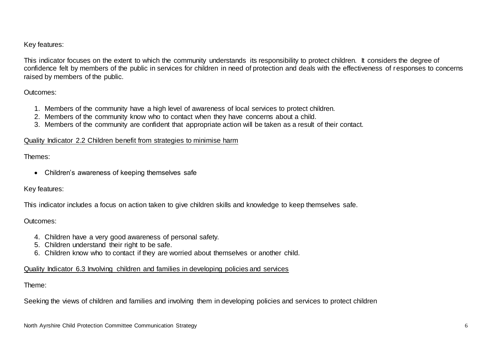#### Key features:

This indicator focuses on the extent to which the community understands its responsibility to protect children. It considers the degree of confidence felt by members of the public in services for children in need of protection and deals with the effectiveness of responses to concerns raised by members of the public.

#### Outcomes:

- 1. Members of the community have a high level of awareness of local services to protect children.
- 2. Members of the community know who to contact when they have concerns about a child.
- 3. Members of the community are confident that appropriate action will be taken as a result of their contact.

#### Quality Indicator 2.2 Children benefit from strategies to minimise harm

#### Themes:

• Children's awareness of keeping themselves safe

#### Key features:

This indicator includes a focus on action taken to give children skills and knowledge to keep themselves safe.

## Outcomes:

- 4. Children have a very good awareness of personal safety.
- 5. Children understand their right to be safe.
- 6. Children know who to contact if they are worried about themselves or another child.

#### Quality Indicator 6.3 Involving children and families in developing policies and services

#### Theme:

Seeking the views of children and families and involving them in developing policies and services to protect children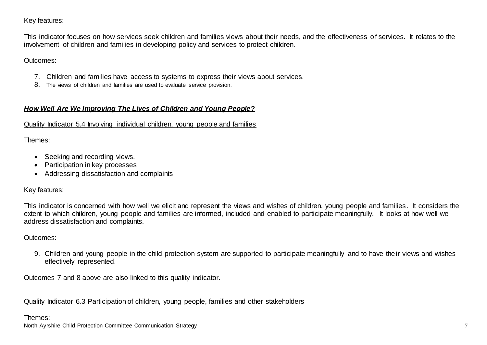## Key features:

This indicator focuses on how services seek children and families views about their needs, and the effectiveness of services. It relates to the involvement of children and families in developing policy and services to protect children.

Outcomes:

- 7. Children and families have access to systems to express their views about services.
- 8. The views of children and families are used to evaluate service provision.

## *How Well Are We Improving The Lives of Children and Young People***?**

## Quality Indicator 5.4 Involving individual children, young people and families

Themes:

- Seeking and recording views.
- Participation in key processes
- Addressing dissatisfaction and complaints

## Key features:

This indicator is concerned with how well we elicit and represent the views and wishes of children, young people and families . It considers the extent to which children, young people and families are informed, included and enabled to participate meaningfully. It looks at how well we address dissatisfaction and complaints.

## Outcomes:

9. Children and young people in the child protection system are supported to participate meaningfully and to have their views and wishes effectively represented.

Outcomes 7 and 8 above are also linked to this quality indicator.

Quality Indicator 6.3 Participation of children, young people, families and other stakeholders

## Themes:

North Ayrshire Child Protection Committee Communication Strategy 7 7 2008 7 2008 7 2008 7 2008 7 2008 7 2008 7 2009 7 2009 7 2009 7 2009 7 2009 7 2009 7 2009 7 2009 7 2009 7 2009 7 2009 7 2009 7 2009 7 2009 7 2009 7 2009 7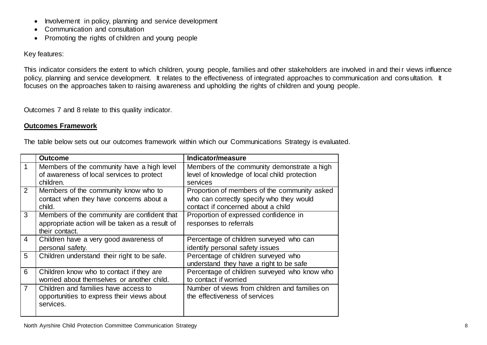- Involvement in policy, planning and service development
- Communication and consultation
- Promoting the rights of children and young people

Key features:

This indicator considers the extent to which children, young people, families and other stakeholders are involved in and their views influence policy, planning and service development. It relates to the effectiveness of integrated approaches to communication and consultation. It focuses on the approaches taken to raising awareness and upholding the rights of children and young people.

Outcomes 7 and 8 relate to this quality indicator.

## **Outcomes Framework**

The table below sets out our outcomes framework within which our Communications Strategy is evaluated.

|                | <b>Outcome</b>                                                                                                   | Indicator/measure                                                                                                              |
|----------------|------------------------------------------------------------------------------------------------------------------|--------------------------------------------------------------------------------------------------------------------------------|
| 1              | Members of the community have a high level<br>of awareness of local services to protect<br>children.             | Members of the community demonstrate a high<br>level of knowledge of local child protection<br>services                        |
| $\overline{2}$ | Members of the community know who to<br>contact when they have concerns about a<br>child.                        | Proportion of members of the community asked<br>who can correctly specify who they would<br>contact if concerned about a child |
| 3              | Members of the community are confident that<br>appropriate action will be taken as a result of<br>their contact. | Proportion of expressed confidence in<br>responses to referrals                                                                |
| 4              | Children have a very good awareness of<br>personal safety.                                                       | Percentage of children surveyed who can<br>identify personal safety issues                                                     |
| 5              | Children understand their right to be safe.                                                                      | Percentage of children surveyed who<br>understand they have a right to be safe                                                 |
| 6              | Children know who to contact if they are<br>worried about themselves or another child.                           | Percentage of children surveyed who know who<br>to contact if worried                                                          |
| 7              | Children and families have access to<br>opportunities to express their views about<br>services.                  | Number of views from children and families on<br>the effectiveness of services                                                 |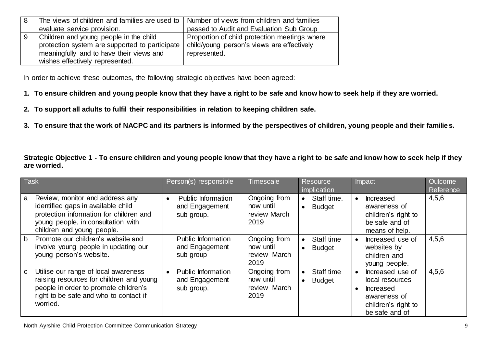| -8 | The views of children and families are used to $\vert$ Number of views from children and families |                                               |
|----|---------------------------------------------------------------------------------------------------|-----------------------------------------------|
|    | evaluate service provision.                                                                       | passed to Audit and Evaluation Sub Group      |
| 9  | Children and young people in the child                                                            | Proportion of child protection meetings where |
|    | protection system are supported to participate                                                    | child/young person's views are effectively    |
|    | meaningfully and to have their views and                                                          | represented.                                  |
|    | wishes effectively represented.                                                                   |                                               |

In order to achieve these outcomes, the following strategic objectives have been agreed:

- **1. To ensure children and young people know that they have a right to be safe and know how to seek help if they are worried.**
- **2. To support all adults to fulfil their responsibilities in relation to keeping children safe.**
- **3. To ensure that the work of NACPC and its partners is informed by the perspectives of children, young people and their familie s.**

**Strategic Objective 1 - To ensure children and young people know that they have a right to be safe and know how to seek help if they are worried.**

| Task         |                                                                                                                                                                                      | Person(s) responsible                                                  | <b>Timescale</b>                                  | Resource<br>implication      | Impact                                                                                                           | Outcome<br>Reference |
|--------------|--------------------------------------------------------------------------------------------------------------------------------------------------------------------------------------|------------------------------------------------------------------------|---------------------------------------------------|------------------------------|------------------------------------------------------------------------------------------------------------------|----------------------|
| a            | Review, monitor and address any<br>identified gaps in available child<br>protection information for children and<br>young people, in consultation with<br>children and young people. | <b>Public Information</b><br>$\bullet$<br>and Engagement<br>sub group. | Ongoing from<br>now until<br>review March<br>2019 | Staff time.<br><b>Budget</b> | <b>Increased</b><br>$\bullet$<br>awareness of<br>children's right to<br>be safe and of<br>means of help.         | 4,5,6                |
| $\mathsf{b}$ | Promote our children's website and<br>involve young people in updating our<br>young person's website.                                                                                | <b>Public Information</b><br>and Engagement<br>sub group               | Ongoing from<br>now until<br>review March<br>2019 | Staff time<br><b>Budget</b>  | Increased use of<br>$\bullet$<br>websites by<br>children and<br>young people.                                    | 4,5,6                |
| $\mathbf{C}$ | Utilise our range of local awareness<br>raising resources for children and young<br>people in order to promote children's<br>right to be safe and who to contact if<br>worried.      | <b>Public Information</b><br>and Engagement<br>sub group.              | Ongoing from<br>now until<br>review March<br>2019 | Staff time<br><b>Budget</b>  | Increased use of<br>local resources<br><b>Increased</b><br>awareness of<br>children's right to<br>be safe and of | 4,5,6                |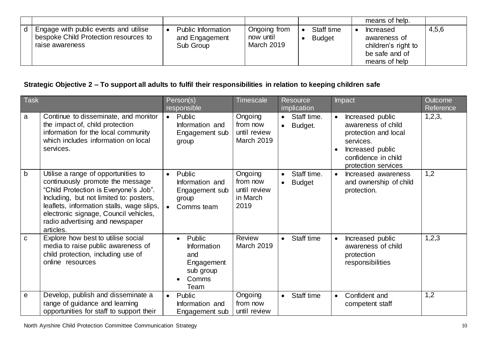|                                                          |                             |                                |               | means of help.                                                         |       |
|----------------------------------------------------------|-----------------------------|--------------------------------|---------------|------------------------------------------------------------------------|-------|
| Engage with public events and utilise                    | Public Information          | Ongoing from                   | Staff time    | <b>Increased</b>                                                       | 4,5,6 |
| bespoke Child Protection resources to<br>raise awareness | and Engagement<br>Sub Group | now until<br><b>March 2019</b> | <b>Budget</b> | awareness of<br>children's right to<br>be safe and of<br>means of help |       |

# **Strategic Objective 2 – To support all adults to fulfil their responsibilities in relation to keeping children safe**

| <b>Task</b>  |                                                                                                                                                                                                                                                                                                   | Person(s)<br>responsible |                                                                                              | <b>Timescale</b>                                         |           | Resource<br>implication      |           | Impact                                                                                                                                        | <b>Outcome</b><br>Reference |
|--------------|---------------------------------------------------------------------------------------------------------------------------------------------------------------------------------------------------------------------------------------------------------------------------------------------------|--------------------------|----------------------------------------------------------------------------------------------|----------------------------------------------------------|-----------|------------------------------|-----------|-----------------------------------------------------------------------------------------------------------------------------------------------|-----------------------------|
| a            | Continue to disseminate, and monitor<br>the impact of, child protection<br>information for the local community<br>which includes information on local<br>services.                                                                                                                                |                          | $\bullet$ Public<br>Information and<br>Engagement sub<br>group                               | Ongoing<br>from now<br>until review<br><b>March 2019</b> | $\bullet$ | • Staff time.<br>Budget.     |           | Increased public<br>awareness of child<br>protection and local<br>services.<br>Increased public<br>confidence in child<br>protection services | 1,2,3,                      |
| b            | Utilise a range of opportunities to<br>continuously promote the message<br>"Child Protection is Everyone's Job".<br>Including, but not limited to: posters,<br>leaflets, information stalls, wage slips,<br>electronic signage, Council vehicles,<br>radio advertising and newspaper<br>articles. | $\bullet$                | Public<br>Information and<br>Engagement sub<br>group<br>Comms team                           | Ongoing<br>from now<br>until review<br>in March<br>2019  | $\bullet$ | Staff time.<br><b>Budget</b> |           | Increased awareness<br>and ownership of child<br>protection.                                                                                  | 1,2                         |
| $\mathbf{C}$ | Explore how best to utilise social<br>media to raise public awareness of<br>child protection, including use of<br>online resources                                                                                                                                                                |                          | Public<br>$\bullet$<br><b>Information</b><br>and<br>Engagement<br>sub group<br>Comms<br>Team | Review<br><b>March 2019</b>                              | $\bullet$ | Staff time                   |           | Increased public<br>awareness of child<br>protection<br>responsibilities                                                                      | 1,2,3                       |
| e            | Develop, publish and disseminate a<br>range of guidance and learning<br>opportunities for staff to support their                                                                                                                                                                                  | $\bullet$                | Public<br>Information and<br>Engagement sub                                                  | Ongoing<br>from now<br>until review                      | $\bullet$ | Staff time                   | $\bullet$ | Confident and<br>competent staff                                                                                                              | 1,2                         |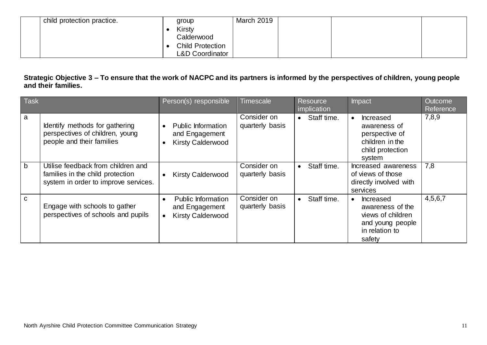| child protection practice. | group                      | March 2019 |  |  |
|----------------------------|----------------------------|------------|--|--|
|                            | <b>Kirsty</b>              |            |  |  |
|                            | Calderwood                 |            |  |  |
|                            | <b>Child Protection</b>    |            |  |  |
|                            | <b>L&amp;D Coordinator</b> |            |  |  |

## **Strategic Objective 3 – To ensure that the work of NACPC and its partners is informed by the perspectives of children, young people and their families.**

| <b>Task</b>  |                                                                                                                | Person(s) responsible                                                   | Timescale                      | <b>Resource</b><br>implication | Impact                                                                                                                 | <b>Outcome</b><br>Reference |
|--------------|----------------------------------------------------------------------------------------------------------------|-------------------------------------------------------------------------|--------------------------------|--------------------------------|------------------------------------------------------------------------------------------------------------------------|-----------------------------|
| a            | Identify methods for gathering<br>perspectives of children, young<br>people and their families                 | Public Information<br>and Engagement<br><b>Kirsty Calderwood</b>        | Consider on<br>quarterly basis | Staff time.<br>$\bullet$       | Increased<br>$\bullet$<br>awareness of<br>perspective of<br>children in the<br>child protection<br>system              | 7,8,9                       |
| $\mathsf{b}$ | Utilise feedback from children and<br>families in the child protection<br>system in order to improve services. | <b>Kirsty Calderwood</b>                                                | Consider on<br>quarterly basis | Staff time.<br>$\bullet$       | Increased awareness<br>of views of those<br>directly involved with<br>services                                         | 7,8                         |
| $\mathbf C$  | Engage with schools to gather<br>perspectives of schools and pupils                                            | <b>Public Information</b><br>and Engagement<br><b>Kirsty Calderwood</b> | Consider on<br>quarterly basis | Staff time.<br>$\bullet$       | <b>Increased</b><br>$\bullet$<br>awareness of the<br>views of children<br>and young people<br>in relation to<br>safety | 4,5,6,7                     |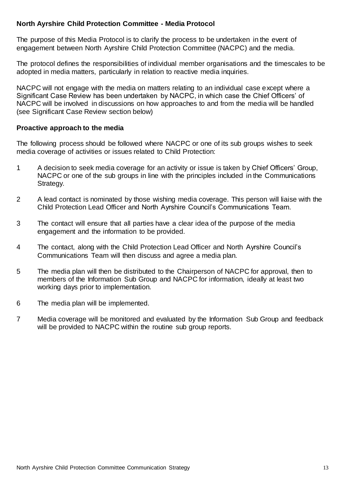## **North Ayrshire Child Protection Committee - Media Protocol**

The purpose of this Media Protocol is to clarify the process to be undertaken in the event of engagement between North Ayrshire Child Protection Committee (NACPC) and the media.

The protocol defines the responsibilities of individual member organisations and the timescales to be adopted in media matters, particularly in relation to reactive media inquiries.

NACPC will not engage with the media on matters relating to an individual case except where a Significant Case Review has been undertaken by NACPC, in which case the Chief Officers' of NACPC will be involved in discussions on how approaches to and from the media will be handled (see Significant Case Review section below)

#### **Proactive approach to the media**

The following process should be followed where NACPC or one of its sub groups wishes to seek media coverage of activities or issues related to Child Protection:

- 1 A decision to seek media coverage for an activity or issue is taken by Chief Officers' Group, NACPC or one of the sub groups in line with the principles included in the Communications Strategy.
- 2 A lead contact is nominated by those wishing media coverage. This person will liaise with the Child Protection Lead Officer and North Ayrshire Council's Communications Team.
- 3 The contact will ensure that all parties have a clear idea of the purpose of the media engagement and the information to be provided.
- 4 The contact, along with the Child Protection Lead Officer and North Ayrshire Council's Communications Team will then discuss and agree a media plan.
- 5 The media plan will then be distributed to the Chairperson of NACPC for approval, then to members of the Information Sub Group and NACPC for information, ideally at least two working days prior to implementation.
- 6 The media plan will be implemented.
- 7 Media coverage will be monitored and evaluated by the Information Sub Group and feedback will be provided to NACPC within the routine sub group reports.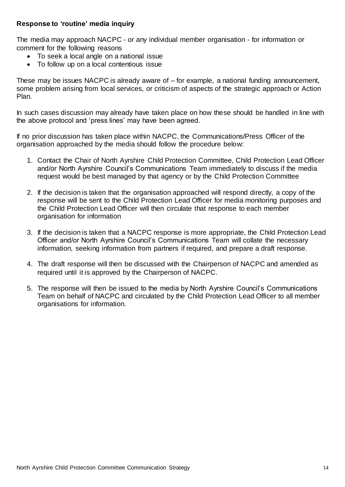#### **Response to 'routine' media inquiry**

The media may approach NACPC - or any individual member organisation - for information or comment for the following reasons

- To seek a local angle on a national issue
- To follow up on a local contentious issue

These may be issues NACPC is already aware of – for example, a national funding announcement, some problem arising from local services, or criticism of aspects of the strategic approach or Action Plan.

In such cases discussion may already have taken place on how these should be handled in line with the above protocol and 'press lines' may have been agreed.

If no prior discussion has taken place within NACPC, the Communications/Press Officer of the organisation approached by the media should follow the procedure below:

- 1. Contact the Chair of North Ayrshire Child Protection Committee, Child Protection Lead Officer and/or North Ayrshire Council's Communications Team immediately to discuss if the media request would be best managed by that agency or by the Child Protection Committee
- 2. If the decision is taken that the organisation approached will respond directly, a copy of the response will be sent to the Child Protection Lead Officer for media monitoring purposes and the Child Protection Lead Officer will then circulate that response to each member organisation for information
- 3. If the decision is taken that a NACPC response is more appropriate, the Child Protection Lead Officer and/or North Ayrshire Council's Communications Team will collate the necessary information, seeking information from partners if required, and prepare a draft response.
- 4. The draft response will then be discussed with the Chairperson of NACPC and amended as required until it is approved by the Chairperson of NACPC.
- 5. The response will then be issued to the media by North Ayrshire Council's Communications Team on behalf of NACPC and circulated by the Child Protection Lead Officer to all member organisations for information.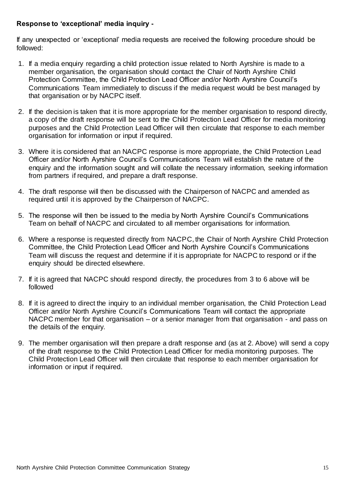## **Response to 'exceptional' media inquiry -**

If any unexpected or 'exceptional' media requests are received the following procedure should be followed:

- 1. If a media enquiry regarding a child protection issue related to North Ayrshire is made to a member organisation, the organisation should contact the Chair of North Ayrshire Child Protection Committee, the Child Protection Lead Officer and/or North Ayrshire Council's Communications Team immediately to discuss if the media request would be best managed by that organisation or by NACPC itself.
- 2. If the decision is taken that it is more appropriate for the member organisation to respond directly, a copy of the draft response will be sent to the Child Protection Lead Officer for media monitoring purposes and the Child Protection Lead Officer will then circulate that response to each member organisation for information or input if required.
- 3. Where it is considered that an NACPC response is more appropriate, the Child Protection Lead Officer and/or North Ayrshire Council's Communications Team will establish the nature of the enquiry and the information sought and will collate the necessary information, seeking information from partners if required, and prepare a draft response.
- 4. The draft response will then be discussed with the Chairperson of NACPC and amended as required until it is approved by the Chairperson of NACPC.
- 5. The response will then be issued to the media by North Ayrshire Council's Communications Team on behalf of NACPC and circulated to all member organisations for information.
- 6. Where a response is requested directly from NACPC, the Chair of North Ayrshire Child Protection Committee, the Child Protection Lead Officer and North Ayrshire Council's Communications Team will discuss the request and determine if it is appropriate for NACPC to respond or if the enquiry should be directed elsewhere.
- 7. If it is agreed that NACPC should respond directly, the procedures from 3 to 6 above will be followed
- 8. If it is agreed to direct the inquiry to an individual member organisation, the Child Protection Lead Officer and/or North Ayrshire Council's Communications Team will contact the appropriate NACPC member for that organisation – or a senior manager from that organisation - and pass on the details of the enquiry.
- 9. The member organisation will then prepare a draft response and (as at 2. Above) will send a copy of the draft response to the Child Protection Lead Officer for media monitoring purposes. The Child Protection Lead Officer will then circulate that response to each member organisation for information or input if required.